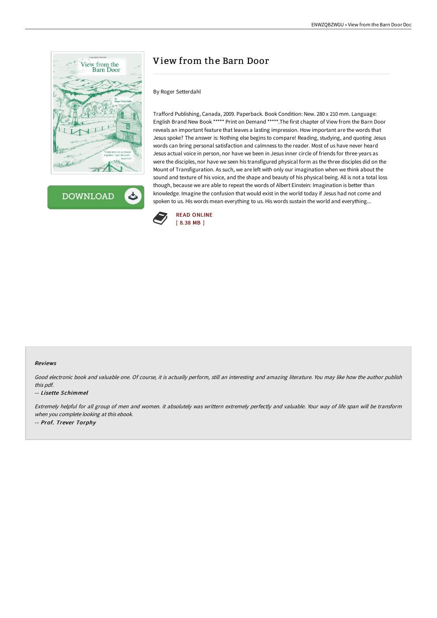

**DOWNLOAD** ٹ

## View from the Barn Door

## By Roger Setterdahl

Trafford Publishing, Canada, 2009. Paperback. Book Condition: New. 280 x 210 mm. Language: English Brand New Book \*\*\*\*\* Print on Demand \*\*\*\*\*.The first chapter of View from the Barn Door reveals an important feature that leaves a lasting impression. How important are the words that Jesus spoke? The answer is: Nothing else begins to compare! Reading, studying, and quoting Jesus words can bring personal satisfaction and calmness to the reader. Most of us have never heard Jesus actual voice in person, nor have we been in Jesus inner circle of friends for three years as were the disciples, nor have we seen his transfigured physical form as the three disciples did on the Mount of Transfiguration. As such, we are left with only our imagination when we think about the sound and texture of his voice, and the shape and beauty of his physical being. All is not a total loss though, because we are able to repeat the words of Albert Einstein: Imagination is better than knowledge. Imagine the confusion that would exist in the world today if Jesus had not come and spoken to us. His words mean everything to us. His words sustain the world and everything...



## Reviews

Good electronic book and valuable one. Of course, it is actually perform, still an interesting and amazing literature. You may like how the author publish this pdf.

## -- Lisette Schimmel

Extremely helpful for all group of men and women. it absolutely was writtern extremely perfectly and valuable. Your way of life span will be transform when you complete looking at this ebook. -- Prof. Trever Torphy